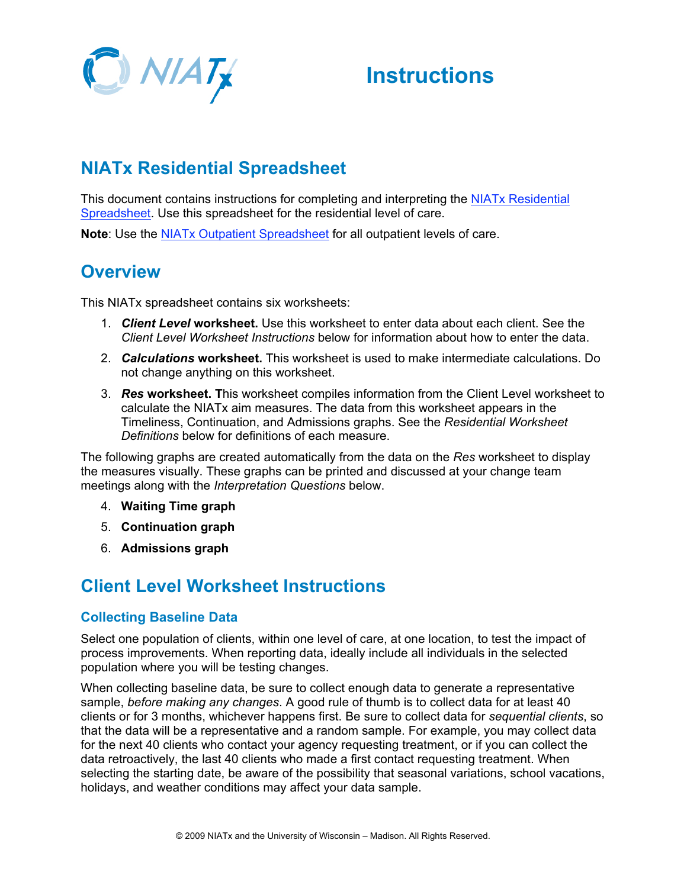

## **Instructions**

## **NIATx Residential Spreadsheet**

This document contains instructions for completing and interpreting the NIATx Residential Spreadsheet. Use this spreadsheet for the residential level of care.

**Note**: Use the NIATx Outpatient Spreadsheet for all outpatient levels of care.

### **Overview**

This NIATx spreadsheet contains six worksheets:

- 1. *Client Level* **worksheet.** Use this worksheet to enter data about each client. See the *Client Level Worksheet Instructions* below for information about how to enter the data.
- 2. *Calculations* **worksheet.** This worksheet is used to make intermediate calculations. Do not change anything on this worksheet.
- 3. *Res* **worksheet. T**his worksheet compiles information from the Client Level worksheet to calculate the NIATx aim measures. The data from this worksheet appears in the Timeliness, Continuation, and Admissions graphs. See the *Residential Worksheet Definitions* below for definitions of each measure.

The following graphs are created automatically from the data on the *Res* worksheet to display the measures visually. These graphs can be printed and discussed at your change team meetings along with the *Interpretation Questions* below.

- 4. **Waiting Time graph**
- 5. **Continuation graph**
- 6. **Admissions graph**

### **Client Level Worksheet Instructions**

### **Collecting Baseline Data**

Select one population of clients, within one level of care, at one location, to test the impact of process improvements. When reporting data, ideally include all individuals in the selected population where you will be testing changes.

When collecting baseline data, be sure to collect enough data to generate a representative sample, *before making any changes*. A good rule of thumb is to collect data for at least 40 clients or for 3 months, whichever happens first. Be sure to collect data for *sequential clients*, so that the data will be a representative and a random sample. For example, you may collect data for the next 40 clients who contact your agency requesting treatment, or if you can collect the data retroactively, the last 40 clients who made a first contact requesting treatment. When selecting the starting date, be aware of the possibility that seasonal variations, school vacations, holidays, and weather conditions may affect your data sample.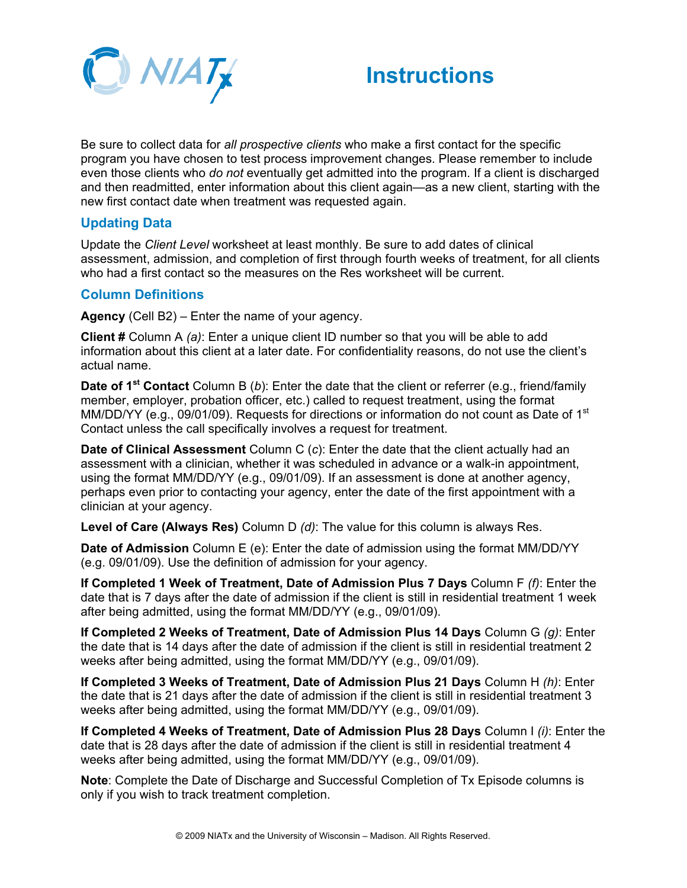



Be sure to collect data for *all prospective clients* who make a first contact for the specific program you have chosen to test process improvement changes. Please remember to include even those clients who *do not* eventually get admitted into the program. If a client is discharged and then readmitted, enter information about this client again—as a new client, starting with the new first contact date when treatment was requested again.

### **Updating Data**

Update the *Client Level* worksheet at least monthly. Be sure to add dates of clinical assessment, admission, and completion of first through fourth weeks of treatment, for all clients who had a first contact so the measures on the Res worksheet will be current.

### **Column Definitions**

**Agency** (Cell B2) – Enter the name of your agency.

**Client #** Column A *(a)*: Enter a unique client ID number so that you will be able to add information about this client at a later date. For confidentiality reasons, do not use the client's actual name.

**Date of 1st Contact** Column B (*b*): Enter the date that the client or referrer (e.g., friend/family member, employer, probation officer, etc.) called to request treatment, using the format MM/DD/YY (e.g., 09/01/09). Requests for directions or information do not count as Date of 1<sup>st</sup> Contact unless the call specifically involves a request for treatment.

**Date of Clinical Assessment** Column C (c): Enter the date that the client actually had an assessment with a clinician, whether it was scheduled in advance or a walk-in appointment, using the format MM/DD/YY (e.g., 09/01/09). If an assessment is done at another agency, perhaps even prior to contacting your agency, enter the date of the first appointment with a clinician at your agency.

**Level of Care (Always Res)** Column D *(d)*: The value for this column is always Res.

**Date of Admission** Column E (e): Enter the date of admission using the format MM/DD/YY (e.g. 09/01/09). Use the definition of admission for your agency.

**If Completed 1 Week of Treatment, Date of Admission Plus 7 Days** Column F *(f)*: Enter the date that is 7 days after the date of admission if the client is still in residential treatment 1 week after being admitted, using the format MM/DD/YY (e.g., 09/01/09).

**If Completed 2 Weeks of Treatment, Date of Admission Plus 14 Days** Column G *(g)*: Enter the date that is 14 days after the date of admission if the client is still in residential treatment 2 weeks after being admitted, using the format MM/DD/YY (e.g., 09/01/09).

**If Completed 3 Weeks of Treatment, Date of Admission Plus 21 Days** Column H *(h)*: Enter the date that is 21 days after the date of admission if the client is still in residential treatment 3 weeks after being admitted, using the format MM/DD/YY (e.g., 09/01/09).

**If Completed 4 Weeks of Treatment, Date of Admission Plus 28 Days** Column I *(i)*: Enter the date that is 28 days after the date of admission if the client is still in residential treatment 4 weeks after being admitted, using the format MM/DD/YY (e.g., 09/01/09).

**Note**: Complete the Date of Discharge and Successful Completion of Tx Episode columns is only if you wish to track treatment completion.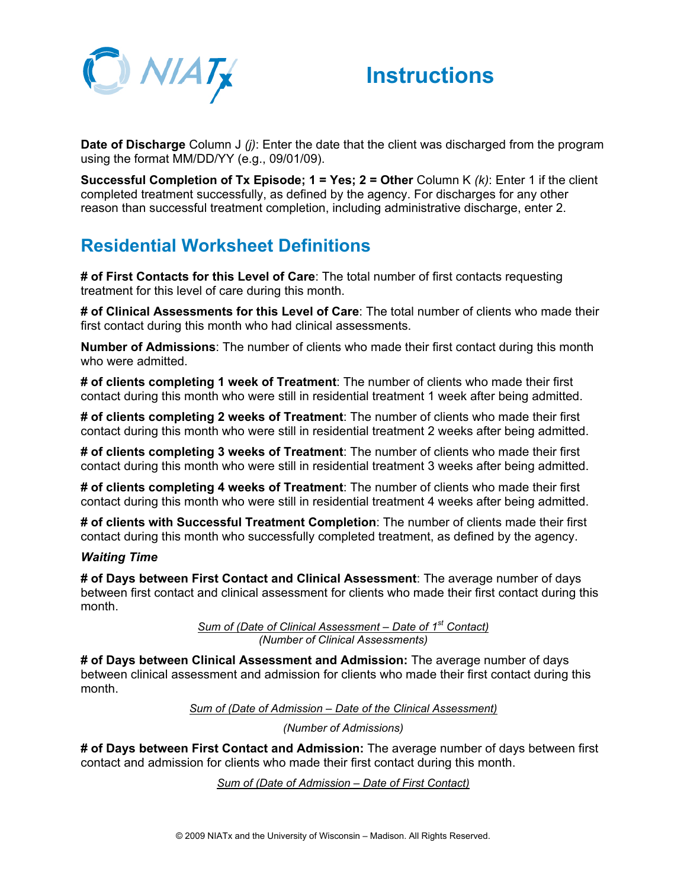



**Date of Discharge** Column J *(j)*: Enter the date that the client was discharged from the program using the format MM/DD/YY (e.g., 09/01/09).

**Successful Completion of Tx Episode; 1 = Yes; 2 = Other** Column K *(k)*: Enter 1 if the client completed treatment successfully, as defined by the agency. For discharges for any other reason than successful treatment completion, including administrative discharge, enter 2.

### **Residential Worksheet Definitions**

**# of First Contacts for this Level of Care**: The total number of first contacts requesting treatment for this level of care during this month.

**# of Clinical Assessments for this Level of Care**: The total number of clients who made their first contact during this month who had clinical assessments.

**Number of Admissions**: The number of clients who made their first contact during this month who were admitted.

**# of clients completing 1 week of Treatment**: The number of clients who made their first contact during this month who were still in residential treatment 1 week after being admitted.

**# of clients completing 2 weeks of Treatment**: The number of clients who made their first contact during this month who were still in residential treatment 2 weeks after being admitted.

**# of clients completing 3 weeks of Treatment**: The number of clients who made their first contact during this month who were still in residential treatment 3 weeks after being admitted.

**# of clients completing 4 weeks of Treatment**: The number of clients who made their first contact during this month who were still in residential treatment 4 weeks after being admitted.

**# of clients with Successful Treatment Completion**: The number of clients made their first contact during this month who successfully completed treatment, as defined by the agency.

#### *Waiting Time*

**# of Days between First Contact and Clinical Assessment**: The average number of days between first contact and clinical assessment for clients who made their first contact during this month.

> *Sum of (Date of Clinical Assessment – Date of 1st Contact) (Number of Clinical Assessments)*

**# of Days between Clinical Assessment and Admission:** The average number of days between clinical assessment and admission for clients who made their first contact during this month.

*Sum of (Date of Admission – Date of the Clinical Assessment)*

*(Number of Admissions)*

**# of Days between First Contact and Admission:** The average number of days between first contact and admission for clients who made their first contact during this month.

*Sum of (Date of Admission – Date of First Contact)*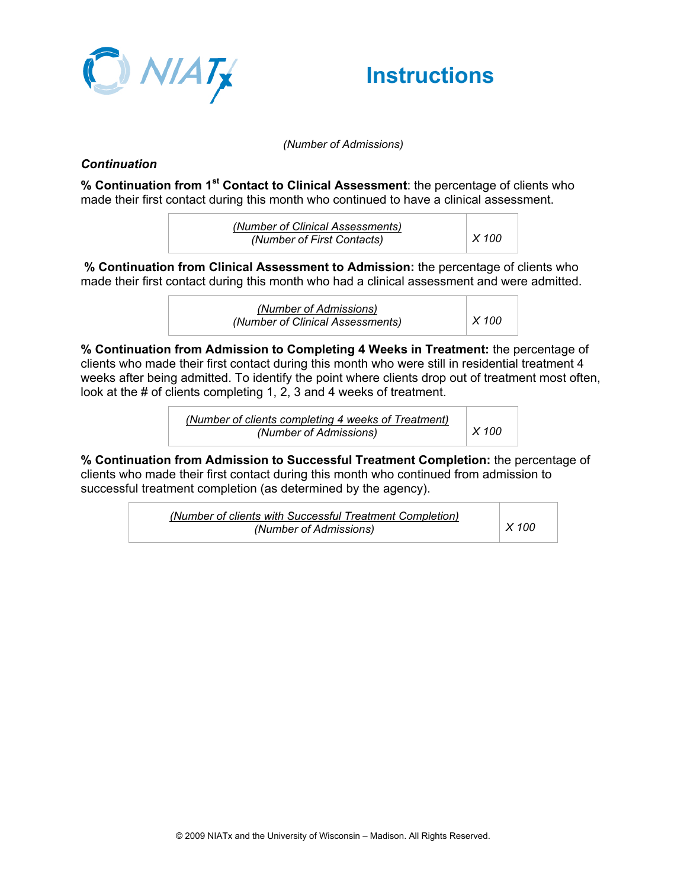



*(Number of Admissions)*

#### *Continuation*

**% Continuation from 1st Contact to Clinical Assessment**: the percentage of clients who made their first contact during this month who continued to have a clinical assessment.

| (Number of Clinical Assessments) |               |
|----------------------------------|---------------|
| (Number of First Contacts)       | $\vert$ X 100 |

**% Continuation from Clinical Assessment to Admission:** the percentage of clients who made their first contact during this month who had a clinical assessment and were admitted.

> *(Number of Admissions) (Number of Clinical Assessments) X 100*

**% Continuation from Admission to Completing 4 Weeks in Treatment:** the percentage of clients who made their first contact during this month who were still in residential treatment 4 weeks after being admitted. To identify the point where clients drop out of treatment most often, look at the # of clients completing 1, 2, 3 and 4 weeks of treatment.

> *(Number of clients completing 4 weeks of Treatment) (Number of Admissions) X 100*

**% Continuation from Admission to Successful Treatment Completion:** the percentage of clients who made their first contact during this month who continued from admission to successful treatment completion (as determined by the agency).

> *(Number of clients with Successful Treatment Completion) (Number of Admissions) X 100*